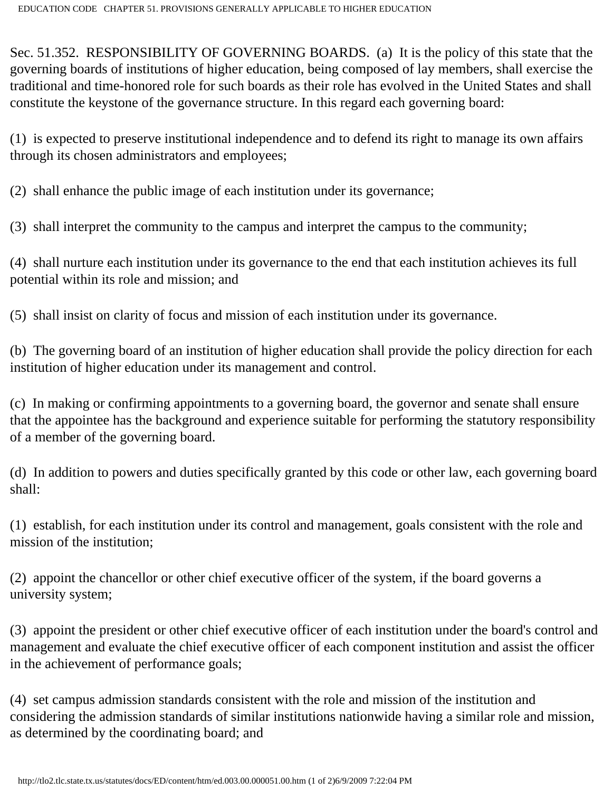Sec. 51.352. RESPONSIBILITY OF GOVERNING BOARDS. (a) It is the policy of this state that the governing boards of institutions of higher education, being composed of lay members, shall exercise the traditional and time-honored role for such boards as their role has evolved in the United States and shall constitute the keystone of the governance structure. In this regard each governing board:

(1) is expected to preserve institutional independence and to defend its right to manage its own affairs through its chosen administrators and employees;

(2) shall enhance the public image of each institution under its governance;

(3) shall interpret the community to the campus and interpret the campus to the community;

(4) shall nurture each institution under its governance to the end that each institution achieves its full potential within its role and mission; and

(5) shall insist on clarity of focus and mission of each institution under its governance.

(b) The governing board of an institution of higher education shall provide the policy direction for each institution of higher education under its management and control.

(c) In making or confirming appointments to a governing board, the governor and senate shall ensure that the appointee has the background and experience suitable for performing the statutory responsibility of a member of the governing board.

(d) In addition to powers and duties specifically granted by this code or other law, each governing board shall:

(1) establish, for each institution under its control and management, goals consistent with the role and mission of the institution;

(2) appoint the chancellor or other chief executive officer of the system, if the board governs a university system;

(3) appoint the president or other chief executive officer of each institution under the board's control and management and evaluate the chief executive officer of each component institution and assist the officer in the achievement of performance goals;

(4) set campus admission standards consistent with the role and mission of the institution and considering the admission standards of similar institutions nationwide having a similar role and mission, as determined by the coordinating board; and